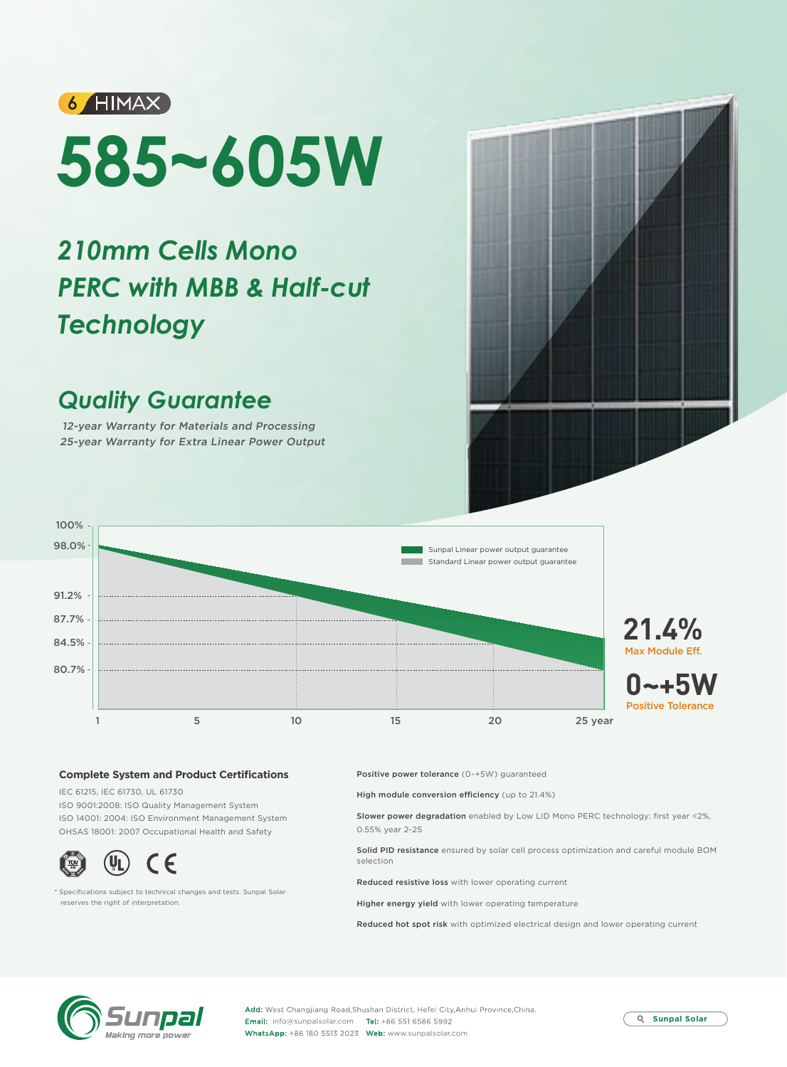

# **585~605W**

# *210mm Cells Mono PERC with MBB & Half-cut Technology*

## *Quality Guarantee*

12-year Warranty for Materials and Processing 25-year Warranty for Extra Linear Power Output



### **Complete System and Product Certifications**

IEC 61215, IEC 61730, UL 61730 ISO 9001:2008: ISO Quality Management System ISO 14001: 2004: ISO Environment Management System OHSAS 18001: 2007 Occupational Health and Safety



\* Specifications subject to technical changes and tests. Sunpal Solar reserves the right of interpretation.

Positive power tolerance (0~+5W) guaranteed

High module conversion efficiency (up to 21.4%)

Slower power degradation enabled by Low LID Mono PERC technology: first year <2%, 0.55% year 2-25

Solid PID resistance ensured by solar cell process optimization and careful module BOM selection

Reduced resistive loss with lower operating current

Higher energy yield with lower operating temperature

Reduced hot spot risk with optimized electrical design and lower operating current